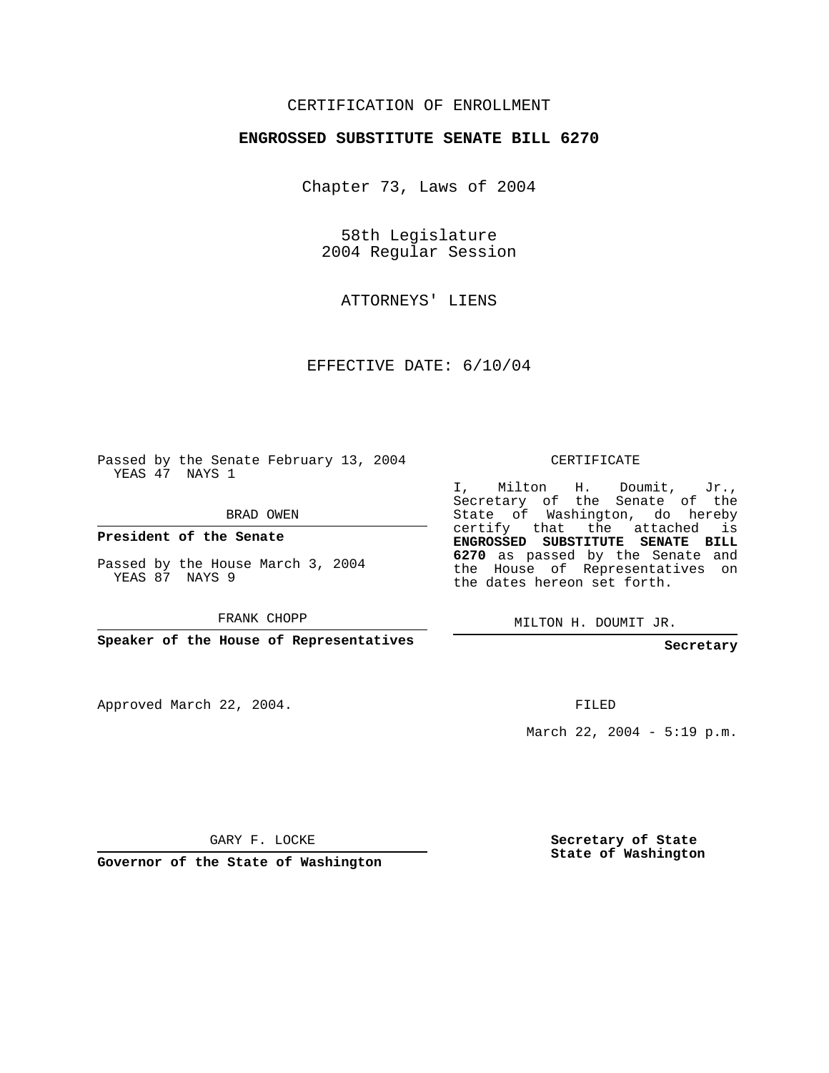## CERTIFICATION OF ENROLLMENT

## **ENGROSSED SUBSTITUTE SENATE BILL 6270**

Chapter 73, Laws of 2004

58th Legislature 2004 Regular Session

ATTORNEYS' LIENS

EFFECTIVE DATE: 6/10/04

Passed by the Senate February 13, 2004 YEAS 47 NAYS 1

BRAD OWEN

**President of the Senate**

Passed by the House March 3, 2004 YEAS 87 NAYS 9

FRANK CHOPP

**Speaker of the House of Representatives**

Approved March 22, 2004.

CERTIFICATE

I, Milton H. Doumit, Jr., Secretary of the Senate of the State of Washington, do hereby certify that the attached is **ENGROSSED SUBSTITUTE SENATE BILL 6270** as passed by the Senate and the House of Representatives on the dates hereon set forth.

MILTON H. DOUMIT JR.

**Secretary**

FILED

March 22, 2004 - 5:19 p.m.

GARY F. LOCKE

**Governor of the State of Washington**

**Secretary of State State of Washington**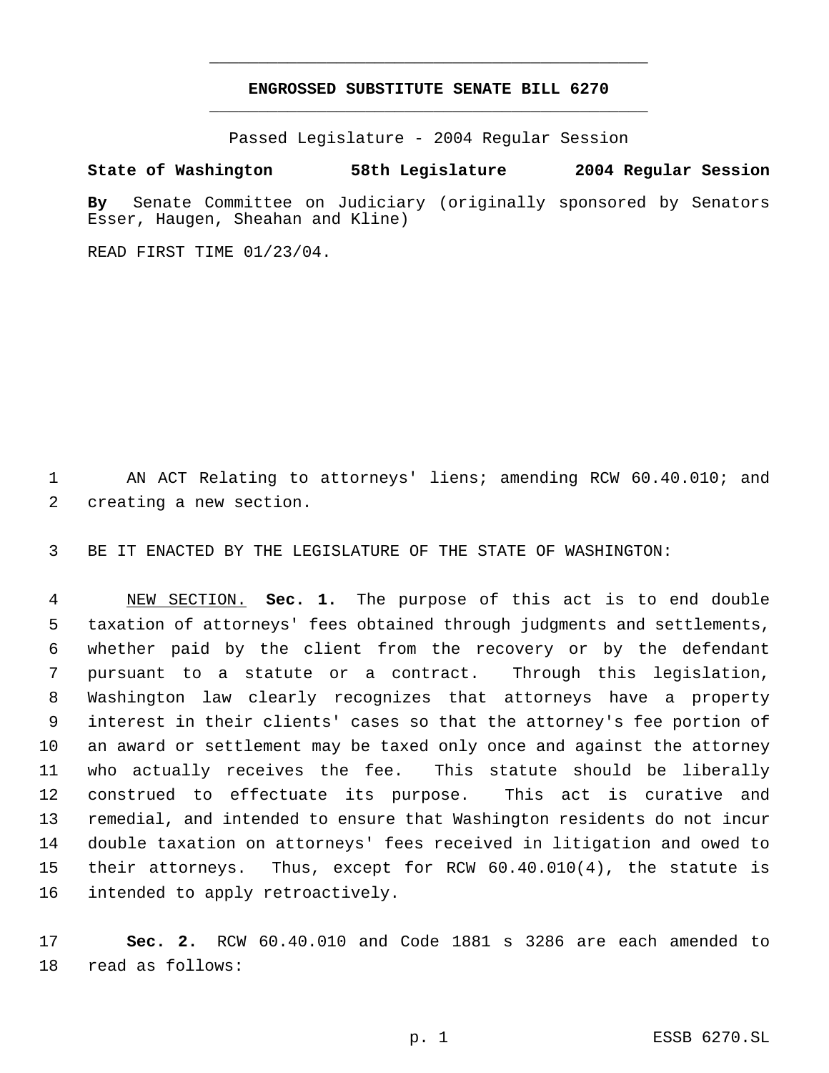## **ENGROSSED SUBSTITUTE SENATE BILL 6270** \_\_\_\_\_\_\_\_\_\_\_\_\_\_\_\_\_\_\_\_\_\_\_\_\_\_\_\_\_\_\_\_\_\_\_\_\_\_\_\_\_\_\_\_\_

\_\_\_\_\_\_\_\_\_\_\_\_\_\_\_\_\_\_\_\_\_\_\_\_\_\_\_\_\_\_\_\_\_\_\_\_\_\_\_\_\_\_\_\_\_

Passed Legislature - 2004 Regular Session

## **State of Washington 58th Legislature 2004 Regular Session**

**By** Senate Committee on Judiciary (originally sponsored by Senators Esser, Haugen, Sheahan and Kline)

READ FIRST TIME 01/23/04.

 AN ACT Relating to attorneys' liens; amending RCW 60.40.010; and creating a new section.

BE IT ENACTED BY THE LEGISLATURE OF THE STATE OF WASHINGTON:

 NEW SECTION. **Sec. 1.** The purpose of this act is to end double taxation of attorneys' fees obtained through judgments and settlements, whether paid by the client from the recovery or by the defendant pursuant to a statute or a contract. Through this legislation, Washington law clearly recognizes that attorneys have a property interest in their clients' cases so that the attorney's fee portion of an award or settlement may be taxed only once and against the attorney who actually receives the fee. This statute should be liberally construed to effectuate its purpose. This act is curative and remedial, and intended to ensure that Washington residents do not incur double taxation on attorneys' fees received in litigation and owed to their attorneys. Thus, except for RCW 60.40.010(4), the statute is intended to apply retroactively.

 **Sec. 2.** RCW 60.40.010 and Code 1881 s 3286 are each amended to read as follows: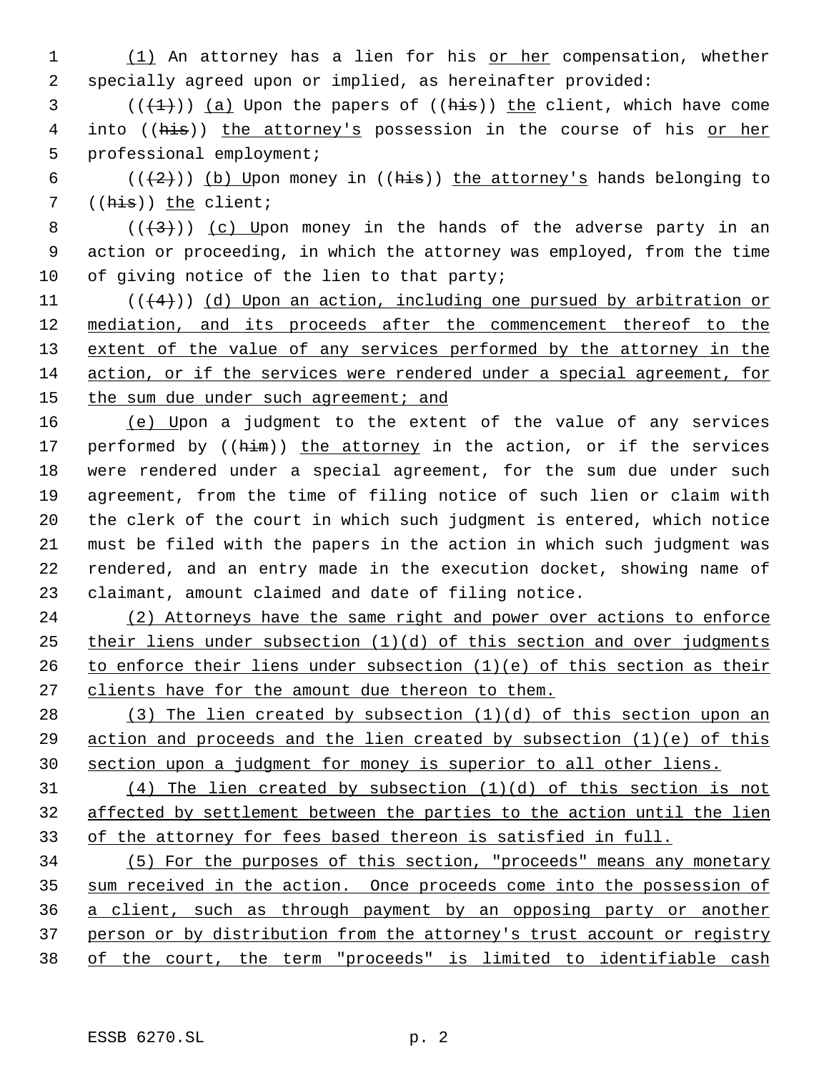1 (1) An attorney has a lien for his or her compensation, whether specially agreed upon or implied, as hereinafter provided:

 (( $(\frac{1}{2})$ ) (a) Upon the papers of ((his)) the client, which have come 4 into ((his)) the attorney's possession in the course of his or her professional employment;

6 ( $(\frac{2}{2})$ ) (b) Upon money in ((his)) the attorney's hands belonging to 7 ((his)) the client;

8  $((+3))$   $(c)$  Upon money in the hands of the adverse party in an action or proceeding, in which the attorney was employed, from the time of giving notice of the lien to that party;

11  $((4+))$  (d) Upon an action, including one pursued by arbitration or mediation, and its proceeds after the commencement thereof to the 13 extent of the value of any services performed by the attorney in the action, or if the services were rendered under a special agreement, for 15 the sum due under such agreement; and

 (e) Upon a judgment to the extent of the value of any services 17 performed by ((him)) the attorney in the action, or if the services were rendered under a special agreement, for the sum due under such agreement, from the time of filing notice of such lien or claim with the clerk of the court in which such judgment is entered, which notice must be filed with the papers in the action in which such judgment was rendered, and an entry made in the execution docket, showing name of claimant, amount claimed and date of filing notice.

24 (2) Attorneys have the same right and power over actions to enforce their liens under subsection (1)(d) of this section and over judgments 26 to enforce their liens under subsection  $(1)(e)$  of this section as their 27 clients have for the amount due thereon to them.

 (3) The lien created by subsection (1)(d) of this section upon an action and proceeds and the lien created by subsection (1)(e) of this section upon a judgment for money is superior to all other liens.

 (4) The lien created by subsection (1)(d) of this section is not affected by settlement between the parties to the action until the lien of the attorney for fees based thereon is satisfied in full.

 (5) For the purposes of this section, "proceeds" means any monetary 35 sum received in the action. Once proceeds come into the possession of a client, such as through payment by an opposing party or another person or by distribution from the attorney's trust account or registry of the court, the term "proceeds" is limited to identifiable cash